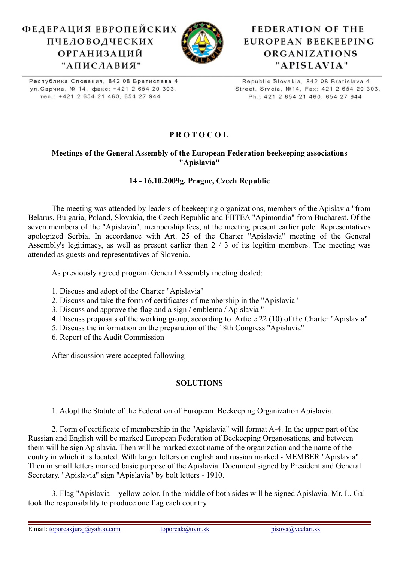# ФЕДЕРАЦИЯ ЕВРОПЕЙСКИХ **ПЧЕЛОВОДЧЕСКИХ ОРГАНИЗАЦИЙ** "АПИСЛАВИЯ"



# **FEDERATION OF THE** EUROPEAN BEEKEEPING ORGANIZATIONS "APISLAVIA"

Республика Словакия, 842 08 Братислава 4 ул. Сврчиа, № 14, факс: +421 2 654 20 303, тел.: +421 2 654 21 460, 654 27 944

Republic Slovakia, 842 08 Bratislava 4 Street. Srvcia, №14, Fax: 421 2 654 20 303, Ph.: 421 2 654 21 460, 654 27 944

## **P R O T O C O L**

#### **Meetings of the General Assembly of the European Federation beekeeping associations "Apislavia"**

#### **14 - 16.10.2009g. Prague, Czech Republic**

The meeting was attended by leaders of beekeeping organizations, members of the Apislavia "from Belarus, Bulgaria, Poland, Slovakia, the Czech Republic and FIITEA "Apimondia" from Bucharest. Of the seven members of the "Apislavia", membership fees, at the meeting present earlier pole. Representatives apologized Serbia. In accordance with Art. 25 of the Charter "Apislavia" meeting of the General Assembly's legitimacy, as well as present earlier than 2 / 3 of its legitim members. The meeting was attended as guests and representatives of Slovenia.

As previously agreed program General Assembly meeting dealed:

- 1. Discuss and adopt of the Charter "Apislavia"
- 2. Discuss and take the form of certificates of membership in the "Apislavia"
- 3. Discuss and approve the flag and a sign / emblema / Apislavia "
- 4. Discuss proposals of the working group, according to Article 22 (10) of the Charter "Apislavia"
- 5. Discuss the information on the preparation of the 18th Congress "Apislavia"
- 6. Report of the Audit Commission

After discussion were accepted following

### **SOLUTIONS**

1. Adopt the Statute of the Federation of European Beekeeping Organization Apislavia.

2. Form of certificate of membership in the "Apislavia" will format A-4. In the upper part of the Russian and English will be marked European Federation of Beekeeping Organosations, and between them will be sign Apislavia. Then will be marked exact name of the organization and the name of the coutry in which it is located. With larger letters on english and russian marked - MEMBER "Apislavia". Then in small letters marked basic purpose of the Apislavia. Document signed by President and General Secretary. "Apislavia" sign "Apislavia" by bolt letters - 1910.

3. Flag "Apislavia - yellow color. In the middle of both sides will be signed Apislavia. Mr. L. Gal took the responsibility to produce one flag each country.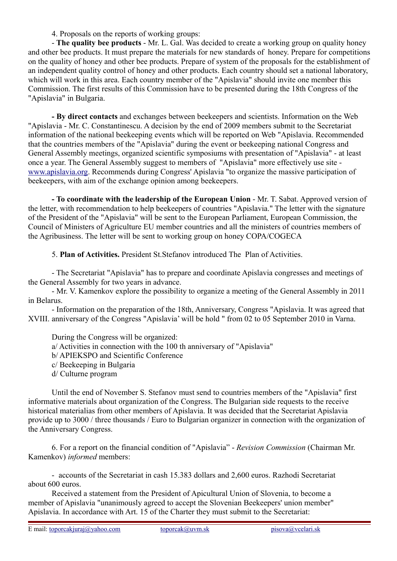#### 4. Proposals on the reports of working groups:

- **The quality bee products** - Mr. L. Gal. Was decided to create a working group on quality honey and other bee products. It must prepare the materials for new standards of honey. Prepare for competitions on the quality of honey and other bee products. Prepare of system of the proposals for the establishment of an independent quality control of honey and other products. Each country should set a national laboratory, which will work in this area. Each country member of the "Apislavia" should invite one member this Commission. The first results of this Commission have to be presented during the 18th Congress of the "Apislavia" in Bulgaria.

**- By direct contacts** and exchanges between beekeepers and scientists. Information on the Web "Apislavia - Mr. C. Constantinescu. A decision by the end of 2009 members submit to the Secretariat information of the national beekeeping events which will be reported on Web "Apislavia. Recommended that the countries members of the "Apislavia" during the event or beekeeping national Congress and General Assembly meetings, organized scientific symposiums with presentation of "Apislavia" - at least once a year. The General Assembly suggest to members of "Apislavia" more effectively use site [www.apislavia.org.](http://www.apislavia.org/) Recommends during Congress' Apislavia "to organize the massive participation of beekeepers, with aim of the exchange opinion among beekeepers.

**- To coordinate with the leadership of the European Union** - Mr. T. Sabat. Approved version of the letter, with recommendation to help beekeepers of countries "Apislavia." The letter with the signature of the President of the "Apislavia" will be sent to the European Parliament, European Commission, the Council of Ministers of Agriculture EU member countries and all the ministers of countries members of the Agribusiness. The letter will be sent to working group on honey COPA/COGECA

5. **Plan of Activities.** President St.Stefanov introduced The Plan of Activities.

- The Secretariat "Apislavia" has to prepare and coordinate Apislavia congresses and meetings of the General Assembly for two years in advance.

- Mr. V. Kamenkov explore the possibility to organize a meeting of the General Assembly in 2011 in Belarus.

- Information on the preparation of the 18th, Anniversary, Congress "Apislavia. It was agreed that XVIII. anniversary of the Congress "Apislavia' will be hold " from 02 to 05 September 2010 in Varna.

During the Congress will be organized: a/ Activities in connection with the 100 th anniversary of "Apislavia" b/ APIEKSPO and Scientific Conference c/ Beekeeping in Bulgaria d/ Culturne program

Until the end of November S. Stefanov must send to countries members of the "Apislavia" first informative materials about organization of the Congress. The Bulgarian side requests to the receive historical materialias from other members of Apislavia. It was decided that the Secretariat Apislavia provide up to 3000 / three thousands / Euro to Bulgarian organizer in connection with the organization of the Anniversary Congress.

6. For a report on the financial condition of "Apislavia" - *Revision Commission* (Chairman Mr. Kamenkov) *informed* members:

- accounts of the Secretariat in cash 15.383 dollars and 2,600 euros. Razhodi Secretariat about 600 euros.

Received a statement from the President of Apicultural Union of Slovenia, to become a member of Apislavia "unanimously agreed to accept the Slovenian Beekeepers' union member" Apislavia. In accordance with Art. 15 of the Charter they must submit to the Secretariat: